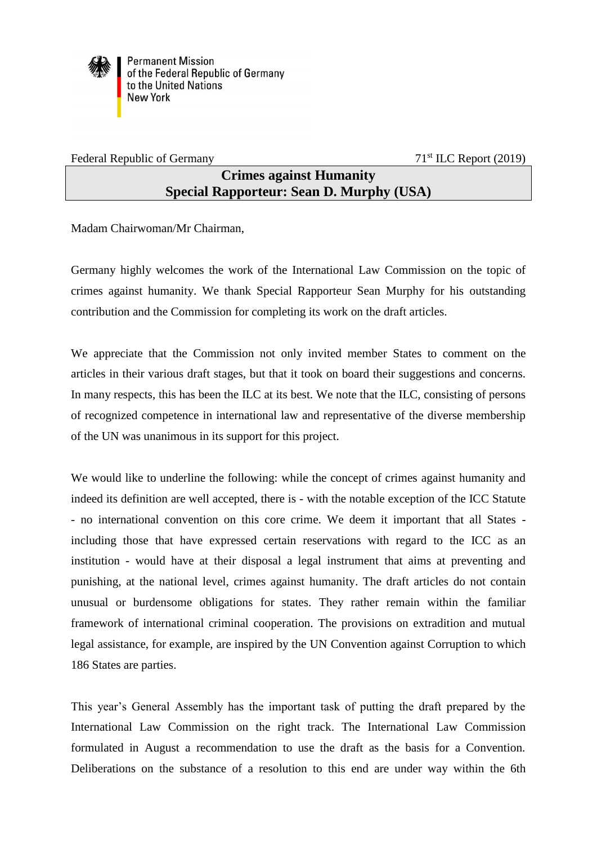

**Permanent Mission** of the Federal Republic of Germany to the United Nations **New York** 

Federal Republic of Germany 71<sup>st</sup> ILC Report (2019)

## **Crimes against Humanity Special Rapporteur: Sean D. Murphy (USA)**

Madam Chairwoman/Mr Chairman,

Germany highly welcomes the work of the International Law Commission on the topic of crimes against humanity. We thank Special Rapporteur Sean Murphy for his outstanding contribution and the Commission for completing its work on the draft articles.

We appreciate that the Commission not only invited member States to comment on the articles in their various draft stages, but that it took on board their suggestions and concerns. In many respects, this has been the ILC at its best. We note that the ILC, consisting of persons of recognized competence in international law and representative of the diverse membership of the UN was unanimous in its support for this project.

We would like to underline the following: while the concept of crimes against humanity and indeed its definition are well accepted, there is - with the notable exception of the ICC Statute - no international convention on this core crime. We deem it important that all States including those that have expressed certain reservations with regard to the ICC as an institution - would have at their disposal a legal instrument that aims at preventing and punishing, at the national level, crimes against humanity. The draft articles do not contain unusual or burdensome obligations for states. They rather remain within the familiar framework of international criminal cooperation. The provisions on extradition and mutual legal assistance, for example, are inspired by the UN Convention against Corruption to which 186 States are parties.

This year's General Assembly has the important task of putting the draft prepared by the International Law Commission on the right track. The International Law Commission formulated in August a recommendation to use the draft as the basis for a Convention. Deliberations on the substance of a resolution to this end are under way within the 6th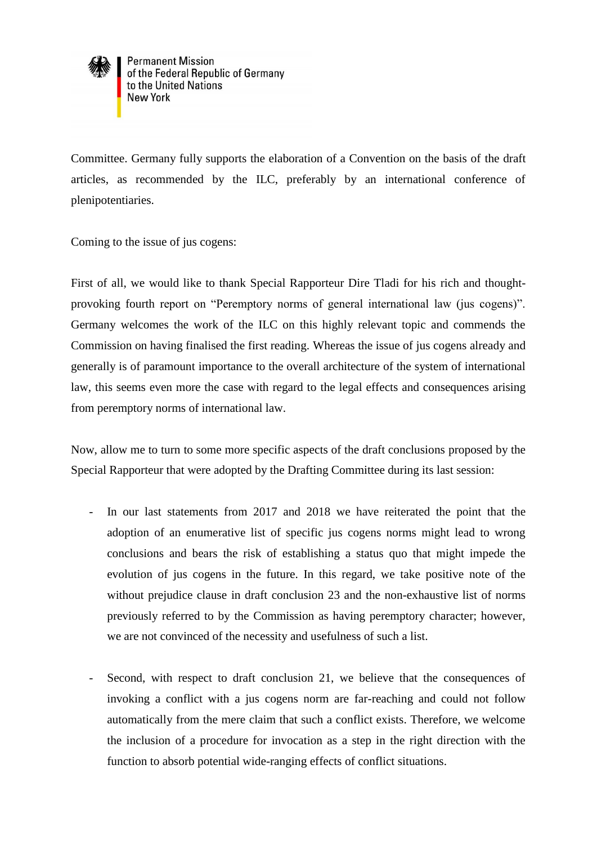

**Permanent Mission** of the Federal Republic of Germany<br>to the United Nations **New York** 

Committee. Germany fully supports the elaboration of a Convention on the basis of the draft articles, as recommended by the ILC, preferably by an international conference of plenipotentiaries.

Coming to the issue of jus cogens:

First of all, we would like to thank Special Rapporteur Dire Tladi for his rich and thoughtprovoking fourth report on "Peremptory norms of general international law (jus cogens)". Germany welcomes the work of the ILC on this highly relevant topic and commends the Commission on having finalised the first reading. Whereas the issue of jus cogens already and generally is of paramount importance to the overall architecture of the system of international law, this seems even more the case with regard to the legal effects and consequences arising from peremptory norms of international law.

Now, allow me to turn to some more specific aspects of the draft conclusions proposed by the Special Rapporteur that were adopted by the Drafting Committee during its last session:

- In our last statements from 2017 and 2018 we have reiterated the point that the adoption of an enumerative list of specific jus cogens norms might lead to wrong conclusions and bears the risk of establishing a status quo that might impede the evolution of jus cogens in the future. In this regard, we take positive note of the without prejudice clause in draft conclusion 23 and the non-exhaustive list of norms previously referred to by the Commission as having peremptory character; however, we are not convinced of the necessity and usefulness of such a list.
- Second, with respect to draft conclusion 21, we believe that the consequences of invoking a conflict with a jus cogens norm are far-reaching and could not follow automatically from the mere claim that such a conflict exists. Therefore, we welcome the inclusion of a procedure for invocation as a step in the right direction with the function to absorb potential wide-ranging effects of conflict situations.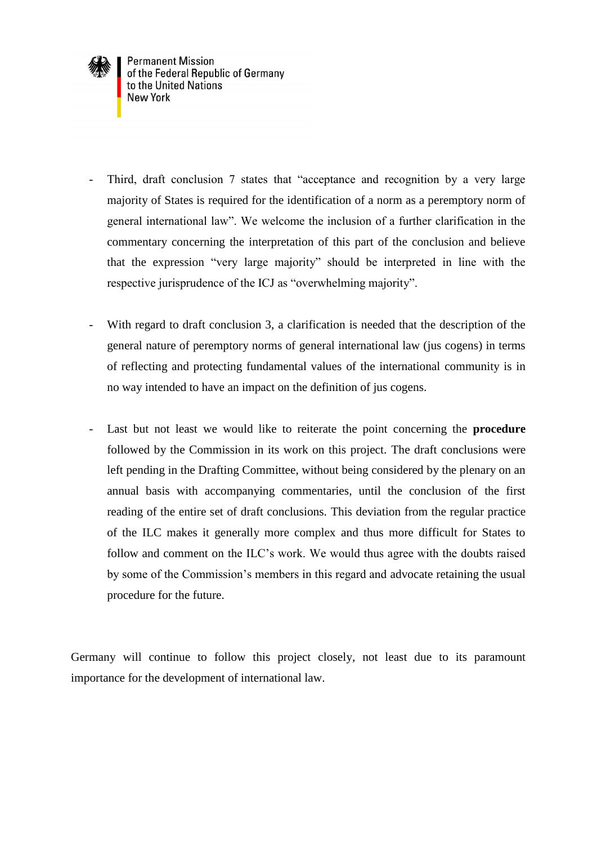

- Third, draft conclusion 7 states that "acceptance and recognition by a very large majority of States is required for the identification of a norm as a peremptory norm of general international law". We welcome the inclusion of a further clarification in the commentary concerning the interpretation of this part of the conclusion and believe that the expression "very large majority" should be interpreted in line with the respective jurisprudence of the ICJ as "overwhelming majority".
- With regard to draft conclusion 3, a clarification is needed that the description of the general nature of peremptory norms of general international law (jus cogens) in terms of reflecting and protecting fundamental values of the international community is in no way intended to have an impact on the definition of jus cogens.
- Last but not least we would like to reiterate the point concerning the **procedure** followed by the Commission in its work on this project. The draft conclusions were left pending in the Drafting Committee, without being considered by the plenary on an annual basis with accompanying commentaries, until the conclusion of the first reading of the entire set of draft conclusions. This deviation from the regular practice of the ILC makes it generally more complex and thus more difficult for States to follow and comment on the ILC's work. We would thus agree with the doubts raised by some of the Commission's members in this regard and advocate retaining the usual procedure for the future.

Germany will continue to follow this project closely, not least due to its paramount importance for the development of international law.